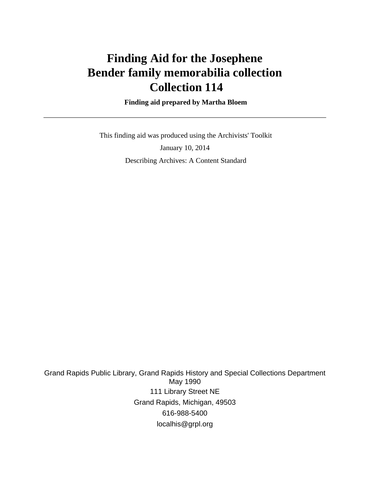# **Finding Aid for the Josephene Bender family memorabilia collection Collection 114**

 **Finding aid prepared by Martha Bloem**

 This finding aid was produced using the Archivists' Toolkit January 10, 2014 Describing Archives: A Content Standard

Grand Rapids Public Library, Grand Rapids History and Special Collections Department May 1990 111 Library Street NE Grand Rapids, Michigan, 49503 616-988-5400 localhis@grpl.org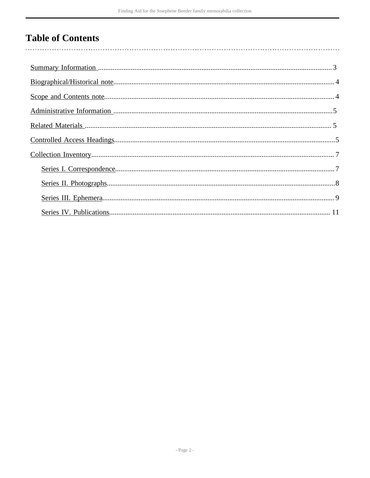# **Table of Contents**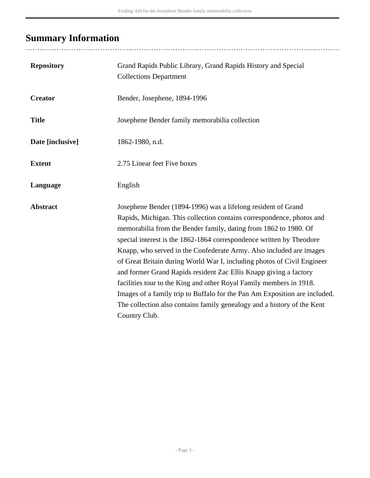# <span id="page-2-0"></span>**Summary Information**

...................................

| <b>Repository</b> | Grand Rapids Public Library, Grand Rapids History and Special<br><b>Collections Department</b>                                                                                                                                                                                                                                                                                                                                                                                                                                                                                                                                                                                                                                                             |
|-------------------|------------------------------------------------------------------------------------------------------------------------------------------------------------------------------------------------------------------------------------------------------------------------------------------------------------------------------------------------------------------------------------------------------------------------------------------------------------------------------------------------------------------------------------------------------------------------------------------------------------------------------------------------------------------------------------------------------------------------------------------------------------|
| <b>Creator</b>    | Bender, Josephene, 1894-1996                                                                                                                                                                                                                                                                                                                                                                                                                                                                                                                                                                                                                                                                                                                               |
| <b>Title</b>      | Josephene Bender family memorabilia collection                                                                                                                                                                                                                                                                                                                                                                                                                                                                                                                                                                                                                                                                                                             |
| Date [inclusive]  | 1862-1980, n.d.                                                                                                                                                                                                                                                                                                                                                                                                                                                                                                                                                                                                                                                                                                                                            |
| <b>Extent</b>     | 2.75 Linear feet Five boxes                                                                                                                                                                                                                                                                                                                                                                                                                                                                                                                                                                                                                                                                                                                                |
| Language          | English                                                                                                                                                                                                                                                                                                                                                                                                                                                                                                                                                                                                                                                                                                                                                    |
| <b>Abstract</b>   | Josephene Bender (1894-1996) was a lifelong resident of Grand<br>Rapids, Michigan. This collection contains correspondence, photos and<br>memorabilia from the Bender family, dating from 1862 to 1980. Of<br>special interest is the 1862-1864 correspondence written by Theodore<br>Knapp, who served in the Confederate Army. Also included are images<br>of Great Britain during World War I, including photos of Civil Engineer<br>and former Grand Rapids resident Zac Ellis Knapp giving a factory<br>facilities tour to the King and other Royal Family members in 1918.<br>Images of a family trip to Buffalo for the Pan Am Exposition are included.<br>The collection also contains family genealogy and a history of the Kent<br>Country Club. |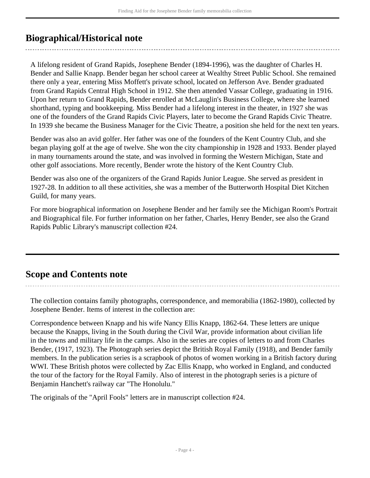# <span id="page-3-0"></span>**Biographical/Historical note**

A lifelong resident of Grand Rapids, Josephene Bender (1894-1996), was the daughter of Charles H. Bender and Sallie Knapp. Bender began her school career at Wealthy Street Public School. She remained there only a year, entering Miss Moffett's private school, located on Jefferson Ave. Bender graduated from Grand Rapids Central High School in 1912. She then attended Vassar College, graduating in 1916. Upon her return to Grand Rapids, Bender enrolled at McLauglin's Business College, where she learned shorthand, typing and bookkeeping. Miss Bender had a lifelong interest in the theater, in 1927 she was one of the founders of the Grand Rapids Civic Players, later to become the Grand Rapids Civic Theatre. In 1939 she became the Business Manager for the Civic Theatre, a position she held for the next ten years.

Bender was also an avid golfer. Her father was one of the founders of the Kent Country Club, and she began playing golf at the age of twelve. She won the city championship in 1928 and 1933. Bender played in many tournaments around the state, and was involved in forming the Western Michigan, State and other golf associations. More recently, Bender wrote the history of the Kent Country Club.

Bender was also one of the organizers of the Grand Rapids Junior League. She served as president in 1927-28. In addition to all these activities, she was a member of the Butterworth Hospital Diet Kitchen Guild, for many years.

For more biographical information on Josephene Bender and her family see the Michigan Room's Portrait and Biographical file. For further information on her father, Charles, Henry Bender, see also the Grand Rapids Public Library's manuscript collection #24.

# <span id="page-3-1"></span>**Scope and Contents note**

The collection contains family photographs, correspondence, and memorabilia (1862-1980), collected by Josephene Bender. Items of interest in the collection are:

Correspondence between Knapp and his wife Nancy Ellis Knapp, 1862-64. These letters are unique because the Knapps, living in the South during the Civil War, provide information about civilian life in the towns and military life in the camps. Also in the series are copies of letters to and from Charles Bender, (1917, 1923). The Photograph series depict the British Royal Family (1918), and Bender family members. In the publication series is a scrapbook of photos of women working in a British factory during WWI. These British photos were collected by Zac Ellis Knapp, who worked in England, and conducted the tour of the factory for the Royal Family. Also of interest in the photograph series is a picture of Benjamin Hanchett's railway car "The Honolulu."

The originals of the "April Fools" letters are in manuscript collection #24.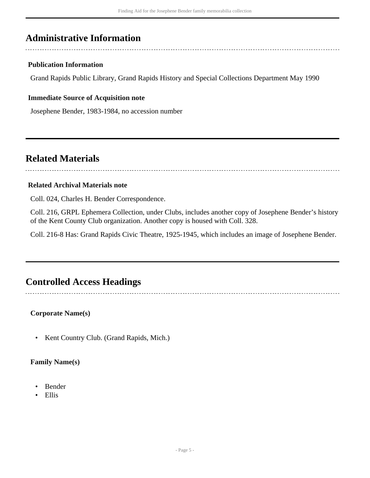# <span id="page-4-0"></span>**Administrative Information**

## **Publication Information**

Grand Rapids Public Library, Grand Rapids History and Special Collections Department May 1990

## **Immediate Source of Acquisition note**

Josephene Bender, 1983-1984, no accession number

## <span id="page-4-1"></span>**Related Materials**

### **Related Archival Materials note**

Coll. 024, Charles H. Bender Correspondence.

Coll. 216, GRPL Ephemera Collection, under Clubs, includes another copy of Josephene Bender's history of the Kent County Club organization. Another copy is housed with Coll. 328.

Coll. 216-8 Has: Grand Rapids Civic Theatre, 1925-1945, which includes an image of Josephene Bender.

## <span id="page-4-2"></span>**Controlled Access Headings**

**Corporate Name(s)**

• Kent Country Club. (Grand Rapids, Mich.)

### **Family Name(s)**

- Bender
- Ellis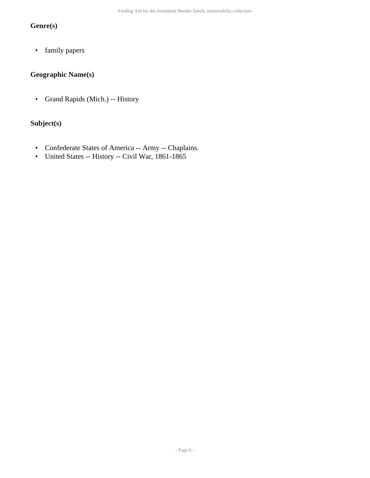## **Genre(s)**

• family papers

## **Geographic Name(s)**

• Grand Rapids (Mich.) -- History

## **Subject(s)**

- Confederate States of America -- Army -- Chaplains.
- United States -- History -- Civil War, 1861-1865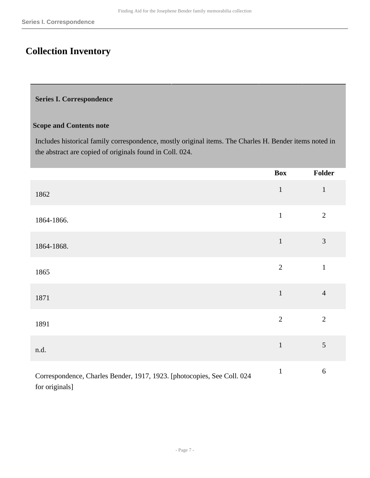# <span id="page-6-0"></span>**Collection Inventory**

#### <span id="page-6-1"></span>**Series I. Correspondence**

#### **Scope and Contents note**

Includes historical family correspondence, mostly original items. The Charles H. Bender items noted in the abstract are copied of originals found in Coll. 024.

|                                                                         | <b>Box</b>     | Folder         |
|-------------------------------------------------------------------------|----------------|----------------|
| 1862                                                                    | $\mathbf 1$    | $\mathbf{1}$   |
| 1864-1866.                                                              | $\,1\,$        | $\sqrt{2}$     |
| 1864-1868.                                                              | $\mathbf 1$    | $\mathfrak{Z}$ |
| 1865                                                                    | $\overline{2}$ | $\mathbf{1}$   |
| 1871                                                                    | $\mathbf{1}$   | $\overline{4}$ |
| 1891                                                                    | $\overline{2}$ | $\overline{2}$ |
| n.d.                                                                    | $\mathbf 1$    | $\sqrt{5}$     |
| Correspondence, Charles Bender, 1917, 1923. [photocopies, See Coll. 024 | $\mathbf 1$    | $\sqrt{6}$     |

for originals]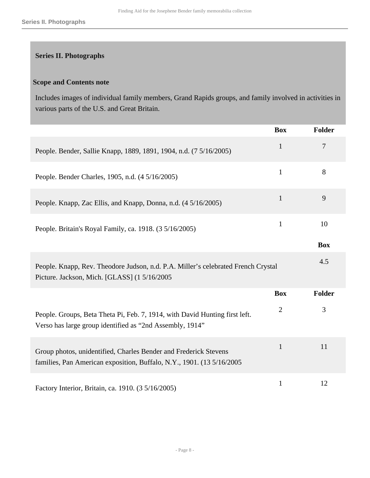## <span id="page-7-0"></span>**Series II. Photographs**

### **Scope and Contents note**

Includes images of individual family members, Grand Rapids groups, and family involved in activities in various parts of the U.S. and Great Britain.

|                                                                                                                                            | <b>Box</b>     | <b>Folder</b> |
|--------------------------------------------------------------------------------------------------------------------------------------------|----------------|---------------|
| People. Bender, Sallie Knapp, 1889, 1891, 1904, n.d. (7 5/16/2005)                                                                         | $\mathbf{1}$   | 7             |
| People. Bender Charles, 1905, n.d. (4 5/16/2005)                                                                                           | $\mathbf{1}$   | 8             |
| People. Knapp, Zac Ellis, and Knapp, Donna, n.d. (4 5/16/2005)                                                                             | $\mathbf{1}$   | 9             |
| People. Britain's Royal Family, ca. 1918. (3 5/16/2005)                                                                                    | $\mathbf{1}$   | 10            |
|                                                                                                                                            |                | <b>Box</b>    |
| People. Knapp, Rev. Theodore Judson, n.d. P.A. Miller's celebrated French Crystal<br>Picture. Jackson, Mich. [GLASS] (1 5/16/2005          |                | 4.5           |
|                                                                                                                                            | <b>Box</b>     | <b>Folder</b> |
| People. Groups, Beta Theta Pi, Feb. 7, 1914, with David Hunting first left.<br>Verso has large group identified as "2nd Assembly, 1914"    | $\overline{2}$ | 3             |
| Group photos, unidentified, Charles Bender and Frederick Stevens<br>families, Pan American exposition, Buffalo, N.Y., 1901. (13 5/16/2005) | $\mathbf{1}$   | 11            |
| Factory Interior, Britain, ca. 1910. (3 5/16/2005)                                                                                         | $\mathbf{1}$   | 12            |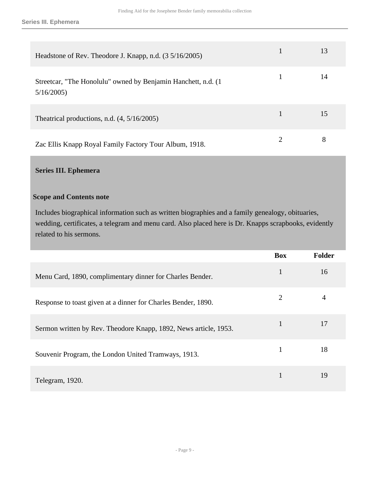**Series III. Ephemera**

| Headstone of Rev. Theodore J. Knapp, n.d. (3 5/16/2005)                     | 13 |
|-----------------------------------------------------------------------------|----|
| Streetcar, "The Honolulu" owned by Benjamin Hanchett, n.d. (1)<br>5/16/2005 | 14 |
| Theatrical productions, n.d. $(4, 5/16/2005)$                               | 15 |
| Zac Ellis Knapp Royal Family Factory Tour Album, 1918.                      | 8  |

## <span id="page-8-0"></span>**Series III. Ephemera**

## **Scope and Contents note**

Includes biographical information such as written biographies and a family genealogy, obituaries, wedding, certificates, a telegram and menu card. Also placed here is Dr. Knapps scrapbooks, evidently related to his sermons.

|                                                                  | <b>Box</b>     | Folder |
|------------------------------------------------------------------|----------------|--------|
| Menu Card, 1890, complimentary dinner for Charles Bender.        | 1              | 16     |
| Response to toast given at a dinner for Charles Bender, 1890.    | $\overline{2}$ | 4      |
| Sermon written by Rev. Theodore Knapp, 1892, News article, 1953. | 1              | 17     |
| Souvenir Program, the London United Tramways, 1913.              | 1              | 18     |
| Telegram, 1920.                                                  |                | 19     |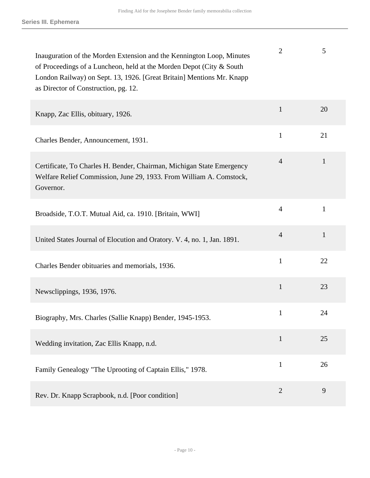| Inauguration of the Morden Extension and the Kennington Loop, Minutes<br>of Proceedings of a Luncheon, held at the Morden Depot (City & South<br>London Railway) on Sept. 13, 1926. [Great Britain] Mentions Mr. Knapp<br>as Director of Construction, pg. 12. | $\overline{2}$ | 5            |
|----------------------------------------------------------------------------------------------------------------------------------------------------------------------------------------------------------------------------------------------------------------|----------------|--------------|
| Knapp, Zac Ellis, obituary, 1926.                                                                                                                                                                                                                              | $\mathbf{1}$   | 20           |
| Charles Bender, Announcement, 1931.                                                                                                                                                                                                                            | $\mathbf{1}$   | 21           |
| Certificate, To Charles H. Bender, Chairman, Michigan State Emergency<br>Welfare Relief Commission, June 29, 1933. From William A. Comstock,<br>Governor.                                                                                                      | $\overline{4}$ | $\mathbf{1}$ |
| Broadside, T.O.T. Mutual Aid, ca. 1910. [Britain, WWI]                                                                                                                                                                                                         | $\overline{4}$ | 1            |
| United States Journal of Elocution and Oratory. V. 4, no. 1, Jan. 1891.                                                                                                                                                                                        | $\overline{4}$ | $\mathbf{1}$ |
| Charles Bender obituaries and memorials, 1936.                                                                                                                                                                                                                 | $\mathbf{1}$   | 22           |
| Newsclippings, 1936, 1976.                                                                                                                                                                                                                                     | $\mathbf{1}$   | 23           |
| Biography, Mrs. Charles (Sallie Knapp) Bender, 1945-1953.                                                                                                                                                                                                      | $\mathbf{1}$   | 24           |
| Wedding invitation, Zac Ellis Knapp, n.d.                                                                                                                                                                                                                      | $\mathbf{1}$   | 25           |
| Family Genealogy "The Uprooting of Captain Ellis," 1978.                                                                                                                                                                                                       | $\mathbf{1}$   | 26           |
| Rev. Dr. Knapp Scrapbook, n.d. [Poor condition]                                                                                                                                                                                                                | $\overline{2}$ | 9            |